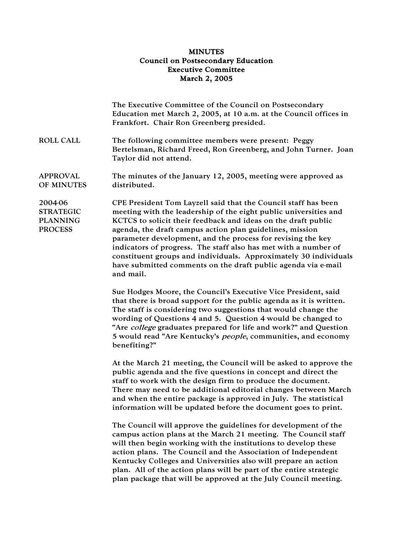## MINUTES Council on Postsecondary Education Executive Committee March 2, 2005

|                                                                  | The Executive Committee of the Council on Postsecondary<br>Education met March 2, 2005, at 10 a.m. at the Council offices in<br>Frankfort. Chair Ron Greenberg presided.                                                                                                                                                                                                                                                                                                                                                                            |
|------------------------------------------------------------------|-----------------------------------------------------------------------------------------------------------------------------------------------------------------------------------------------------------------------------------------------------------------------------------------------------------------------------------------------------------------------------------------------------------------------------------------------------------------------------------------------------------------------------------------------------|
| <b>ROLL CALL</b>                                                 | The following committee members were present: Peggy<br>Bertelsman, Richard Freed, Ron Greenberg, and John Turner. Joan<br>Taylor did not attend.                                                                                                                                                                                                                                                                                                                                                                                                    |
| <b>APPROVAL</b><br>OF MINUTES                                    | The minutes of the January 12, 2005, meeting were approved as<br>distributed.                                                                                                                                                                                                                                                                                                                                                                                                                                                                       |
| 2004-06<br><b>STRATEGIC</b><br><b>PLANNING</b><br><b>PROCESS</b> | CPE President Tom Layzell said that the Council staff has been<br>meeting with the leadership of the eight public universities and<br>KCTCS to solicit their feedback and ideas on the draft public<br>agenda, the draft campus action plan guidelines, mission<br>parameter development, and the process for revising the key<br>indicators of progress. The staff also has met with a number of<br>constituent groups and individuals. Approximately 30 individuals<br>have submitted comments on the draft public agenda via e-mail<br>and mail. |
|                                                                  | Sue Hodges Moore, the Council's Executive Vice President, said<br>that there is broad support for the public agenda as it is written.<br>The staff is considering two suggestions that would change the<br>wording of Questions 4 and 5. Question 4 would be changed to<br>"Are college graduates prepared for life and work?" and Question<br>5 would read "Are Kentucky's people, communities, and economy<br>benefiting?"                                                                                                                        |
|                                                                  | At the March 21 meeting, the Council will be asked to approve the<br>public agenda and the five questions in concept and direct the<br>staff to work with the design firm to produce the document.<br>There may need to be additional editorial changes between March<br>and when the entire package is approved in July. The statistical<br>information will be updated before the document goes to print.                                                                                                                                         |
|                                                                  | The Council will approve the guidelines for development of the<br>campus action plans at the March 21 meeting. The Council staff<br>will then begin working with the institutions to develop these<br>action plans. The Council and the Association of Independent<br>Kentucky Colleges and Universities also will prepare an action                                                                                                                                                                                                                |

plan. All of the action plans will be part of the entire strategic plan package that will be approved at the July Council meeting.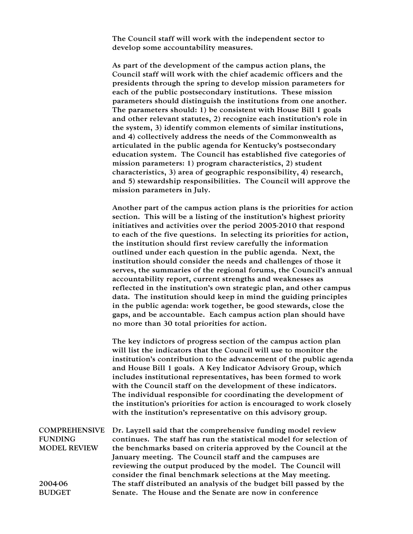The Council staff will work with the independent sector to develop some accountability measures.

As part of the development of the campus action plans, the Council staff will work with the chief academic officers and the presidents through the spring to develop mission parameters for each of the public postsecondary institutions. These mission parameters should distinguish the institutions from one another. The parameters should: 1) be consistent with House Bill 1 goals and other relevant statutes, 2) recognize each institution's role in the system, 3) identify common elements of similar institutions, and 4) collectively address the needs of the Commonwealth as articulated in the public agenda for Kentucky's postsecondary education system. The Council has established five categories of mission parameters: 1) program characteristics, 2) student characteristics, 3) area of geographic responsibility, 4) research, and 5) stewardship responsibilities. The Council will approve the mission parameters in July.

Another part of the campus action plans is the priorities for action section. This will be a listing of the institution's highest priority initiatives and activities over the period 2005-2010 that respond to each of the five questions. In selecting its priorities for action, the institution should first review carefully the information outlined under each question in the public agenda. Next, the institution should consider the needs and challenges of those it serves, the summaries of the regional forums, the Council's annual accountability report, current strengths and weaknesses as reflected in the institution's own strategic plan, and other campus data. The institution should keep in mind the guiding principles in the public agenda: work together, be good stewards, close the gaps, and be accountable. Each campus action plan should have no more than 30 total priorities for action.

The key indictors of progress section of the campus action plan will list the indicators that the Council will use to monitor the institution's contribution to the advancement of the public agenda and House Bill 1 goals. A Key Indicator Advisory Group, which includes institutional representatives, has been formed to work with the Council staff on the development of these indicators. The individual responsible for coordinating the development of the institution's priorities for action is encouraged to work closely with the institution's representative on this advisory group.

|                     | COMPREHENSIVE Dr. Layzell said that the comprehensive funding model review |
|---------------------|----------------------------------------------------------------------------|
| <b>FUNDING</b>      | continues. The staff has run the statistical model for selection of        |
| <b>MODEL REVIEW</b> | the benchmarks based on criteria approved by the Council at the            |
|                     | January meeting. The Council staff and the campuses are                    |
|                     | reviewing the output produced by the model. The Council will               |
|                     | consider the final benchmark selections at the May meeting.                |
| 2004-06             | The staff distributed an analysis of the budget bill passed by the         |
| <b>BUDGET</b>       | Senate. The House and the Senate are now in conference                     |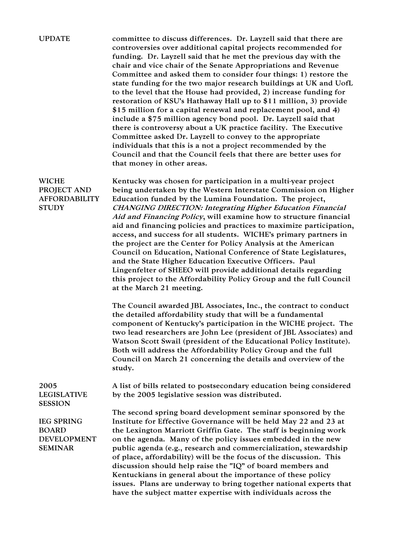| <b>UPDATE</b>                                                             | committee to discuss differences. Dr. Layzell said that there are<br>controversies over additional capital projects recommended for<br>funding. Dr. Layzell said that he met the previous day with the<br>chair and vice chair of the Senate Appropriations and Revenue<br>Committee and asked them to consider four things: 1) restore the<br>state funding for the two major research buildings at UK and UofL<br>to the level that the House had provided, 2) increase funding for<br>restoration of KSU's Hathaway Hall up to \$11 million, 3) provide<br>\$15 million for a capital renewal and replacement pool, and 4)<br>include a \$75 million agency bond pool. Dr. Layzell said that<br>there is controversy about a UK practice facility. The Executive<br>Committee asked Dr. Layzell to convey to the appropriate<br>individuals that this is a not a project recommended by the<br>Council and that the Council feels that there are better uses for<br>that money in other areas. |
|---------------------------------------------------------------------------|---------------------------------------------------------------------------------------------------------------------------------------------------------------------------------------------------------------------------------------------------------------------------------------------------------------------------------------------------------------------------------------------------------------------------------------------------------------------------------------------------------------------------------------------------------------------------------------------------------------------------------------------------------------------------------------------------------------------------------------------------------------------------------------------------------------------------------------------------------------------------------------------------------------------------------------------------------------------------------------------------|
| <b>WICHE</b><br>PROJECT AND<br><b>AFFORDABILITY</b><br><b>STUDY</b>       | Kentucky was chosen for participation in a multi-year project<br>being undertaken by the Western Interstate Commission on Higher<br>Education funded by the Lumina Foundation. The project,<br>CHANGING DIRECTION: Integrating Higher Education Financial<br>Aid and Financing Policy, will examine how to structure financial<br>aid and financing policies and practices to maximize participation,<br>access, and success for all students. WICHE's primary partners in<br>the project are the Center for Policy Analysis at the American<br>Council on Education, National Conference of State Legislatures,<br>and the State Higher Education Executive Officers. Paul<br>Lingenfelter of SHEEO will provide additional details regarding<br>this project to the Affordability Policy Group and the full Council<br>at the March 21 meeting.                                                                                                                                                 |
|                                                                           | The Council awarded JBL Associates, Inc., the contract to conduct<br>the detailed affordability study that will be a fundamental<br>component of Kentucky's participation in the WICHE project. The<br>two lead researchers are John Lee (president of JBL Associates) and<br>Watson Scott Swail (president of the Educational Policy Institute).<br>Both will address the Affordability Policy Group and the full<br>Council on March 21 concerning the details and overview of the<br>study.                                                                                                                                                                                                                                                                                                                                                                                                                                                                                                    |
| 2005<br><b>LEGISLATIVE</b><br><b>SESSION</b>                              | A list of bills related to postsecondary education being considered<br>by the 2005 legislative session was distributed.                                                                                                                                                                                                                                                                                                                                                                                                                                                                                                                                                                                                                                                                                                                                                                                                                                                                           |
| <b>IEG SPRING</b><br><b>BOARD</b><br><b>DEVELOPMENT</b><br><b>SEMINAR</b> | The second spring board development seminar sponsored by the<br>Institute for Effective Governance will be held May 22 and 23 at<br>the Lexington Marriott Griffin Gate. The staff is beginning work<br>on the agenda. Many of the policy issues embedded in the new<br>public agenda (e.g., research and commercialization, stewardship<br>of place, affordability) will be the focus of the discussion. This<br>discussion should help raise the "IQ" of board members and<br>Kentuckians in general about the importance of these policy<br>issues. Plans are underway to bring together national experts that<br>have the subject matter expertise with individuals across the                                                                                                                                                                                                                                                                                                                |